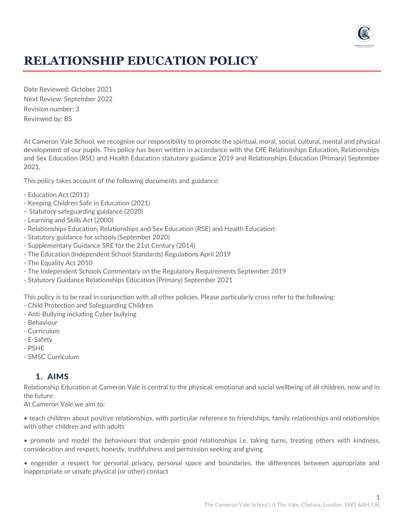

# **RELATIONSHIP EDUCATION POLICY**

Date Reviewed: October 2021 Next Review: September 2022 Revision number: 3 Reviewed by: BS

At Cameron Vale School, we recognise our responsibility to promote the spiritual, moral, social, cultural, mental and physical development of our pupils. This policy has been written in accordance with the DfE Relationships Education, Relationships and Sex Education (RSE) and Health Education statutory guidance 2019 and Relationships Education (Primary) September 2021.

This policy takes account of the following documents and guidance:

- Education Act (2011)
- Keeping Children Safe in Education (2021)
- Statutory safeguarding guidance (2020)
- Learning and Skills Act (2000)
- Relationships Education, Relationships and Sex Education (RSE) and Health Education:
- Statutory guidance for schools (September 2020)
- Supplementary Guidance SRE for the 21st Century (2014)
- The Education (Independent School Standards) Regulations April 2019
- The Equality Act 2010
- The Independent Schools Commentary on the Regulatory Requirements September 2019
- Statutory Guidance Relationships Education (Primary) September 2021

This policy is to be read in conjunction with all other policies. Please particularly cross refer to the following:

- Child Protection and Safeguarding Children
- Anti-Bullying including Cyber bullying
- Behaviour
- Curriculum
- E-Safety
- PSHE
- SMSC Curriculum

### 1. AIMS

Relationship Education at Cameron Vale is central to the physical, emotional and social wellbeing of all children, now and in the future.

At Cameron Vale we aim to:

• teach children about positive relationships, with particular reference to friendships, family relationships and relationships with other children and with adults

• promote and model the behaviours that underpin good relationships i.e. taking turns, treating others with kindness, consideration and respect, honesty, truthfulness and permission seeking and giving

• engender a respect for personal privacy, personal space and boundaries, the differences between appropriate and inappropriate or unsafe physical (or other) contact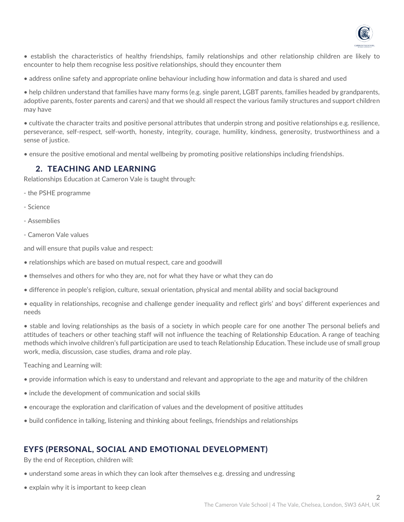

- establish the characteristics of healthy friendships, family relationships and other relationship children are likely to encounter to help them recognise less positive relationships, should they encounter them
- address online safety and appropriate online behaviour including how information and data is shared and used

• help children understand that families have many forms (e.g. single parent, LGBT parents, families headed by grandparents, adoptive parents, foster parents and carers) and that we should all respect the various family structures and support children may have

• cultivate the character traits and positive personal attributes that underpin strong and positive relationships e.g. resilience, perseverance, self-respect, self-worth, honesty, integrity, courage, humility, kindness, generosity, trustworthiness and a sense of justice.

• ensure the positive emotional and mental wellbeing by promoting positive relationships including friendships.

### 2. TEACHING AND LEARNING

Relationships Education at Cameron Vale is taught through:

- the PSHE programme
- Science
- Assemblies
- Cameron Vale values

and will ensure that pupils value and respect:

- relationships which are based on mutual respect, care and goodwill
- themselves and others for who they are, not for what they have or what they can do
- difference in people's religion, culture, sexual orientation, physical and mental ability and social background
- equality in relationships, recognise and challenge gender inequality and reflect girls' and boys' different experiences and needs

• stable and loving relationships as the basis of a society in which people care for one another The personal beliefs and attitudes of teachers or other teaching staff will not influence the teaching of Relationship Education. A range of teaching methods which involve children's full participation are used to teach Relationship Education. These include use of small group work, media, discussion, case studies, drama and role play.

Teaching and Learning will:

- provide information which is easy to understand and relevant and appropriate to the age and maturity of the children
- include the development of communication and social skills
- encourage the exploration and clarification of values and the development of positive attitudes
- build confidence in talking, listening and thinking about feelings, friendships and relationships

# EYFS (PERSONAL, SOCIAL AND EMOTIONAL DEVELOPMENT)

By the end of Reception, children will:

- understand some areas in which they can look after themselves e.g. dressing and undressing
- explain why it is important to keep clean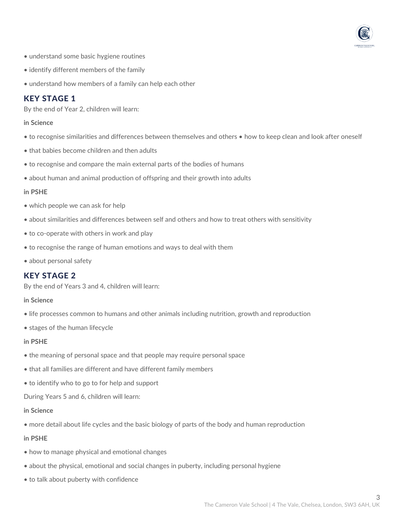

- understand some basic hygiene routines
- identify different members of the family
- understand how members of a family can help each other

### KEY STAGE 1

By the end of Year 2, children will learn:

#### **in Science**

- to recognise similarities and differences between themselves and others how to keep clean and look after oneself
- that babies become children and then adults
- to recognise and compare the main external parts of the bodies of humans
- about human and animal production of offspring and their growth into adults

#### **in PSHE**

- which people we can ask for help
- about similarities and differences between self and others and how to treat others with sensitivity
- to co-operate with others in work and play
- to recognise the range of human emotions and ways to deal with them
- about personal safety

### KEY STAGE 2

By the end of Years 3 and 4, children will learn:

#### **in Science**

- life processes common to humans and other animals including nutrition, growth and reproduction
- stages of the human lifecycle

#### **in PSHE**

- the meaning of personal space and that people may require personal space
- that all families are different and have different family members
- to identify who to go to for help and support

During Years 5 and 6, children will learn:

#### **in Science**

• more detail about life cycles and the basic biology of parts of the body and human reproduction

#### **in PSHE**

- how to manage physical and emotional changes
- about the physical, emotional and social changes in puberty, including personal hygiene
- to talk about puberty with confidence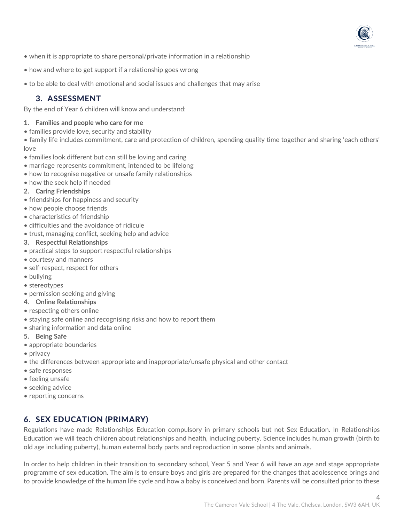- when it is appropriate to share personal/private information in a relationship
- how and where to get support if a relationship goes wrong
- to be able to deal with emotional and social issues and challenges that may arise

### 3. ASSESSMENT

By the end of Year 6 children will know and understand:

#### **1. Families and people who care for me**

• families provide love, security and stability

• family life includes commitment, care and protection of children, spending quality time together and sharing 'each others' love

- families look different but can still be loving and caring
- marriage represents commitment, intended to be lifelong
- how to recognise negative or unsafe family relationships
- how the seek help if needed
- **2. Caring Friendships**
- friendships for happiness and security
- how people choose friends
- characteristics of friendship
- difficulties and the avoidance of ridicule
- trust, managing conflict, seeking help and advice

#### **3. Respectful Relationships**

- practical steps to support respectful relationships
- courtesy and manners
- self-respect, respect for others
- bullying
- stereotypes
- permission seeking and giving
- **4. Online Relationships**
- respecting others online
- staying safe online and recognising risks and how to report them
- sharing information and data online
- **5. Being Safe**
- appropriate boundaries
- privacy
- the differences between appropriate and inappropriate/unsafe physical and other contact
- safe responses
- feeling unsafe
- seeking advice
- reporting concerns

# 6. SEX EDUCATION (PRIMARY)

Regulations have made Relationships Education compulsory in primary schools but not Sex Education. In Relationships Education we will teach children about relationships and health, including puberty. Science includes human growth (birth to old age including puberty), human external body parts and reproduction in some plants and animals.

In order to help children in their transition to secondary school, Year 5 and Year 6 will have an age and stage appropriate programme of sex education. The aim is to ensure boys and girls are prepared for the changes that adolescence brings and to provide knowledge of the human life cycle and how a baby is conceived and born. Parents will be consulted prior to these

4